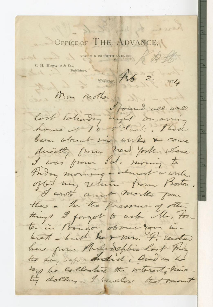## OFFICE OF THE ADVANCE.

by her that

NOSE 151 & 153 FIFTH AVENUE

C. H. HOWARD & Co.,  $\noindent \begin{minipage}{0.5\linewidth} \hline \rule{0pt}{2.2ex} \rule{0pt}{2.2ex} \rule{0pt}{2.2ex} \rule{0pt}{2.2ex} \rule{0pt}{2.2ex} \rule{0pt}{2.2ex} \rule{0pt}{2.2ex} \rule{0pt}{2.2ex} \rule{0pt}{2.2ex} \rule{0pt}{2.2ex} \rule{0pt}{2.2ex} \rule{0pt}{2.2ex} \rule{0pt}{2.2ex} \rule{0pt}{2.2ex} \rule{0pt}{2.2ex} \rule{0pt}{2.2ex} \rule{0pt}{2.2ex} \rule{0pt}{2.2ex} \rule{$ 

Thicago 756 2 1874

is ere

When mother I found all well

lost talundry night on arring

home of 10 o'clock. Thad been obsent six wisks & come directly from how york where I was from Sat, morning to Groom morning - almost a write oftent my return from Boston. I wrote and mortes pour there - In the pressure of other things I forgot to ask the tonta in Bougon obvier your inbrest - but he & mrs. F. leacher here pour Philodephia lost Finday the day before andid, and as he

tap he collective the interest, his.

ty dollars - I suclose that mount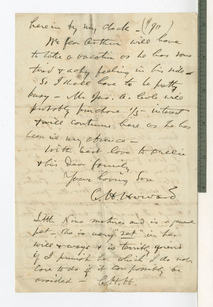here in by my check -(190) We fear Century will have to take a vacation os he has some twee I acky feeling in his side So I thate have to be protty busy - Mr Jas. a. Cole une proboty purchase 1/5 - interest twill continue here as to has heen in my observe list best love to precie this daon foundly Town loving for At Howard Little Nina motives and is a personal fet - The is very 2et in her will & ways & is terribly grend if I humish her which I do not avaided - left, tt.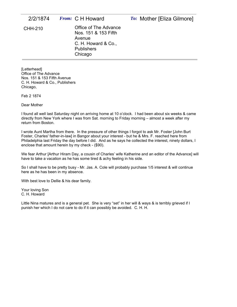| 2/2/1874 | <i>From:</i> C H Howard                                                                                        | To: Mother [Eliza Gilmore] |
|----------|----------------------------------------------------------------------------------------------------------------|----------------------------|
| CHH-210  | Office of The Advance<br>Nos. 151 & 153 Fifth<br>Avenue<br>C. H. Howard & Co.,<br><b>Publishers</b><br>Chicago |                            |

[Letterhead] Office of The Advance Nos. 151 & 153 Fifth Avenue C. H. Howard & Co., Publishers Chicago,

Feb 2 1874

Dear Mother

I found all well last Saturday night on arriving home at 10 o'clock. I had been about six weeks & came directly from New York where I was from Sat. morning to Friday morning – almost a week after my return from Boston.

I wrote Aunt Martha from there. In the pressure of other things I forgot to ask Mr. Foster [John Burt Foster, Charles' father-in-law] in Bangor about your interest - but he & Mrs. F. reached here from Philadelphia last Friday the day before I did. And as he says he collected the interest, ninety dollars, I enclose that amount herein by my check - (\$90).

We fear Arthur [Arthur Hiram Day, a cousin of Charles' wife Katherine and an editor of the Advance] will have to take a vacation as he has some tired & achy feeling in his side.

So I shall have to be pretty busy - Mr. Jas. A. Cole will probably purchase 1/5 interest & will continue here as he has been in my absence.

With best love to Dellie & his dear family.

Your loving Son C. H. Howard

Little Nina matures and is a general pet. She is very "set" in her will & ways & is terribly grieved if I punish her which I do not care to do if it can possibly be avoided. C. H. H.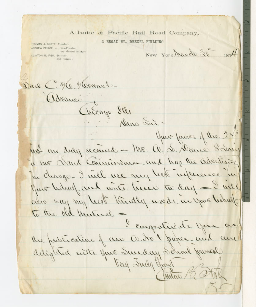## Atlantic & Pacific Rail Road Company,

3 BROAD ST., DREXEL BUILDING

THOMAS A. SCOTT, President. ANDREW PEIRCE, Jr., Vice-President and General Manager. CLINTON B. FISK, Secretary and Treasures

New York, March 30 1874

Dane C. M. Morrand. Advance

your faires of the 24" ust are duly received - Mr. A. S. Dance Sainy to our Dand Commissioner and has the advertising Tu change. I will use my her influence in Mar helral, and write him to day - I will also say my least Kindly words in your behalf To the old Mutual

Dear Sir-

Chicago Ill

I congratulate your ar the publication of an O. to paper-and and delighted with your Sunday School James Vay Inely your Instan 12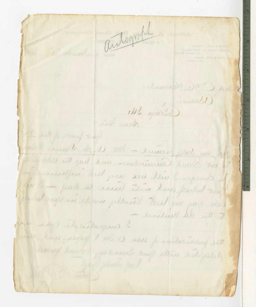autograph Charmell elle ) sin ( lawarb) Wicago das Le with the sell to many recept we didn't have a not be the course of the same a me Sand Cominations and has the city bill he changes I all we was help welcomes in line - port at weed there here, parted any the surge in whom plaint the fun was and lacations. We get of every delivery to the publication of an O in 1 poper and and tomay love of portreut and this bibliotib.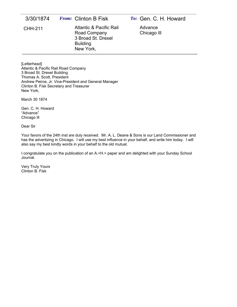| 3/30/1874      | <i>From:</i> Clinton B Fisk                                                                              | To: Gen. C. H. Howard  |
|----------------|----------------------------------------------------------------------------------------------------------|------------------------|
| <b>CHH-211</b> | <b>Atlantic &amp; Pacific Rail</b><br>Road Company<br>3 Broad St. Drexel<br><b>Building</b><br>New York, | Advance<br>Chicago III |

[Letterhead] Atlantic & Pacific Rail Road Company 3 Broad St. Drexel Building Thomas A. Scott, President Andrew Peirce, Jr. Vice-President and General Manager Clinton B. Fisk Secretary and Treasurer New York,

March 30 1874

Gen. C. H. Howard "Advance" Chicago Ill

Dear Sir

Your favors of the 24th inst are duly received. Mr. A. L. Deane & Sons is our Land Commissioner and has the advertizing in Chicago. I will use my best influence in your behalf, and write him today. I will also say my best kindly words in your behalf to the old mutual.

I congratulate you on the publication of an A.<H.> paper and am delighted with your Sunday School Journal.

Very Truly Yours Clinton B. Fisk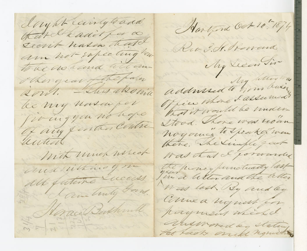dayht cairly to and Hartford Oct 10-1874 that dhadit for a Secrit have that am not-supecting how to be no hand till another grand the paren south This absolute de n'y nova per giving you no hope of any function Contre autid With unch weck and withing you all futuro Queces Cameling Form. Mac Buthind WE WALKSTON

Rio I. H. Rowand My Lecan Sir addussed to hom busin Office where I assumed that it would be miden-Stood. There was roan noyoning to Speak of wea there, he simple goot Was that I forwarded fin a letter and the teller Was lost by and ley Come a niquest for payment wheche answored by stating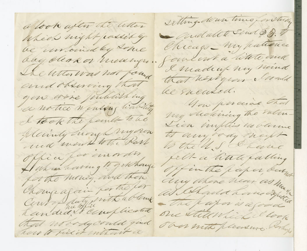a look after the when Wheel night passed by be untoined by some day clear or medinger. The Witter was not found and observing that you wore Juliathing e notice neusing liability I took the femile to be pleasing trongh my own and weak to the Rall Office for unorder, Al what having to get hange for the money, and then Changeagain for the for Contoplaty with a blank Randed & Cimplicated that noody could gind how to fill it enthant a

sitting down time for they Quedalte Send \$3. Chicago\_ my patience Coulout a litete and I made up my mind that herbyear cloud be sucated. You porcial that my declining the rulen. Vien implies no bleme to any ody necht the U.S. I have fell- a little calling offin the paper bury any where hear as may as ahada ham diya - The paper is a good one still which I look The mith pleasure. Vorhung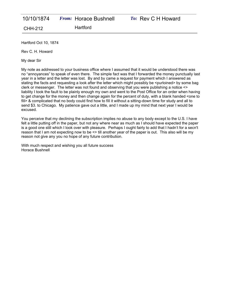Hartford Oct 10, 1874

Rev C. H. Howard

My dear Sir

My note as addressed to your business office where I assumed that it would be understood there was no "annoyances" to speak of even there. The simple fact was that I forwarded the money punctually last year in a letter and the letter was lost. By and by came a request for payment which I answered as stating the facts and requesting a look after the letter which might possibly be <purloined> by some bag clerk or messenger. The letter was not found and observing that you were publishing a notice <> liability I took the fault to be plainly enough my own and went to the Post Office for an order when having to get change for the money and then change again for the percent of duty, with a blank handed <one to fill> & complicated that no body could find how to fill it without a sitting-down time for study and all to send \$3. to Chicago. My patience gave out a little, and I made up my mind that next year I would be excused.

You perceive that my declining the subscription implies no abuse to any body except to the U.S. I have felt a little putting off in the paper, but not any where near as much as I should have expected the paper is a good one still which I look over with pleasure. Perhaps I ought fairly to add that I hadn't for a secn't reason that I am not expecting now to be <> till another year of the paper is out. This also will be my reason not give any you no hope of any future contribution.

With much respect and wishing you all future success Horace Bushnell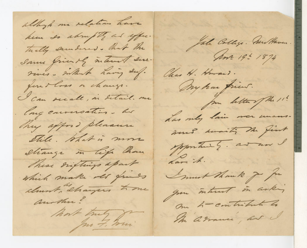allhop me relations have hem to about the and effec. Tually encedened. That the Same friendly interest sur-Times . which having duf. fourthers a change. I can secale, in detail. me · Engeneroation. he They apport pleasure Stile. What is more eliange in tip home These Digtings apart which make old francs clount, changers home another? hart truly form

Jak College. Austhaven

Ant 191 1874

Chas H. Howard.

my har frient.

for letter of the 11! has my lain mer unans.

sout amainti the first spportant &. and now

dare it. Smurt Thank you for

you interest in arking

On h-contribute to

In adrams, at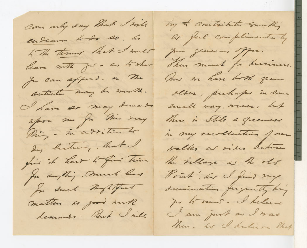Can my day that I will endeare hode so. Les 5 The termes that I must leave with fil - as to where Ju can afford. or Me articles may be mith. Nave so may demands apra me fu Min very Thing - in addition to Ing licturing, that find it hast to fint Them for anything, much has for such nightful. matter as good with lemands. But I sile

by & contribute somethi a ful compliments by June glucius offer. Thus much for duriness. Am sor have both gram olser, puliaps in Some Small way, wiser: hut There is stile a greeners in my recollection for walks at video between the village as the old Point, au I find my sumimation frequently big Je to mus. I believe I am just as I was Thus. his I believe that